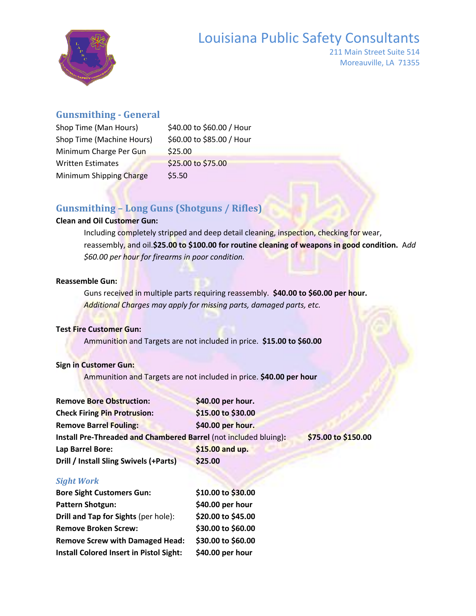# Louisiana Public Safety Consultants



211 Main Street Suite 514 Moreauville, LA 71355

#### **Gunsmithing - General**

| Shop Time (Man Hours)     | \$40.00 to \$60.00 / Hour |
|---------------------------|---------------------------|
| Shop Time (Machine Hours) | \$60.00 to \$85.00 / Hour |
| Minimum Charge Per Gun    | \$25.00                   |
| <b>Written Estimates</b>  | \$25.00 to \$75.00        |
| Minimum Shipping Charge   | \$5.50                    |
|                           |                           |

## **Gunsmithing – Long Guns (Shotguns / Rifles)**

#### **Clean and Oil Customer Gun:**

Including completely stripped and deep detail cleaning, inspection, checking for wear, reassembly, and oil.**\$25.00 to \$100.00 for routine cleaning of weapons in good condition.** A*dd \$60.00 per hour for firearms in poor condition.*

#### **Reassemble Gun:**

Guns received in multiple parts requiring reassembly. **\$40.00 to \$60.00 per hour.** *Additional Charges may apply for missing parts, damaged parts, etc.*

#### **Test Fire Customer Gun:**

Ammunition and Targets are not included in price. **\$15.00 to \$60.00**

#### **Sign in Customer Gun:**

Ammunition and Targets are not included in price. **\$40.00 per hour**

| <b>Remove Bore Obstruction:</b>                                  | \$40.00 per hour.  |                     |
|------------------------------------------------------------------|--------------------|---------------------|
| <b>Check Firing Pin Protrusion:</b>                              | \$15.00 to \$30.00 |                     |
| <b>Remove Barrel Fouling:</b>                                    | \$40.00 per hour.  |                     |
| Install Pre-Threaded and Chambered Barrel (not included bluing): |                    | \$75.00 to \$150.00 |
| Lap Barrel Bore:                                                 | \$15.00 and up.    |                     |
| Drill / Install Sling Swivels (+Parts)                           | \$25.00            |                     |

#### *Sight Work*

| <b>Bore Sight Customers Gun:</b>               | \$10.00 to \$30.00 |
|------------------------------------------------|--------------------|
| Pattern Shotgun:                               | \$40.00 per hour   |
| Drill and Tap for Sights (per hole):           | \$20.00 to \$45.00 |
| <b>Remove Broken Screw:</b>                    | \$30.00 to \$60.00 |
| <b>Remove Screw with Damaged Head:</b>         | \$30.00 to \$60.00 |
| <b>Install Colored Insert in Pistol Sight:</b> | \$40.00 per hour   |